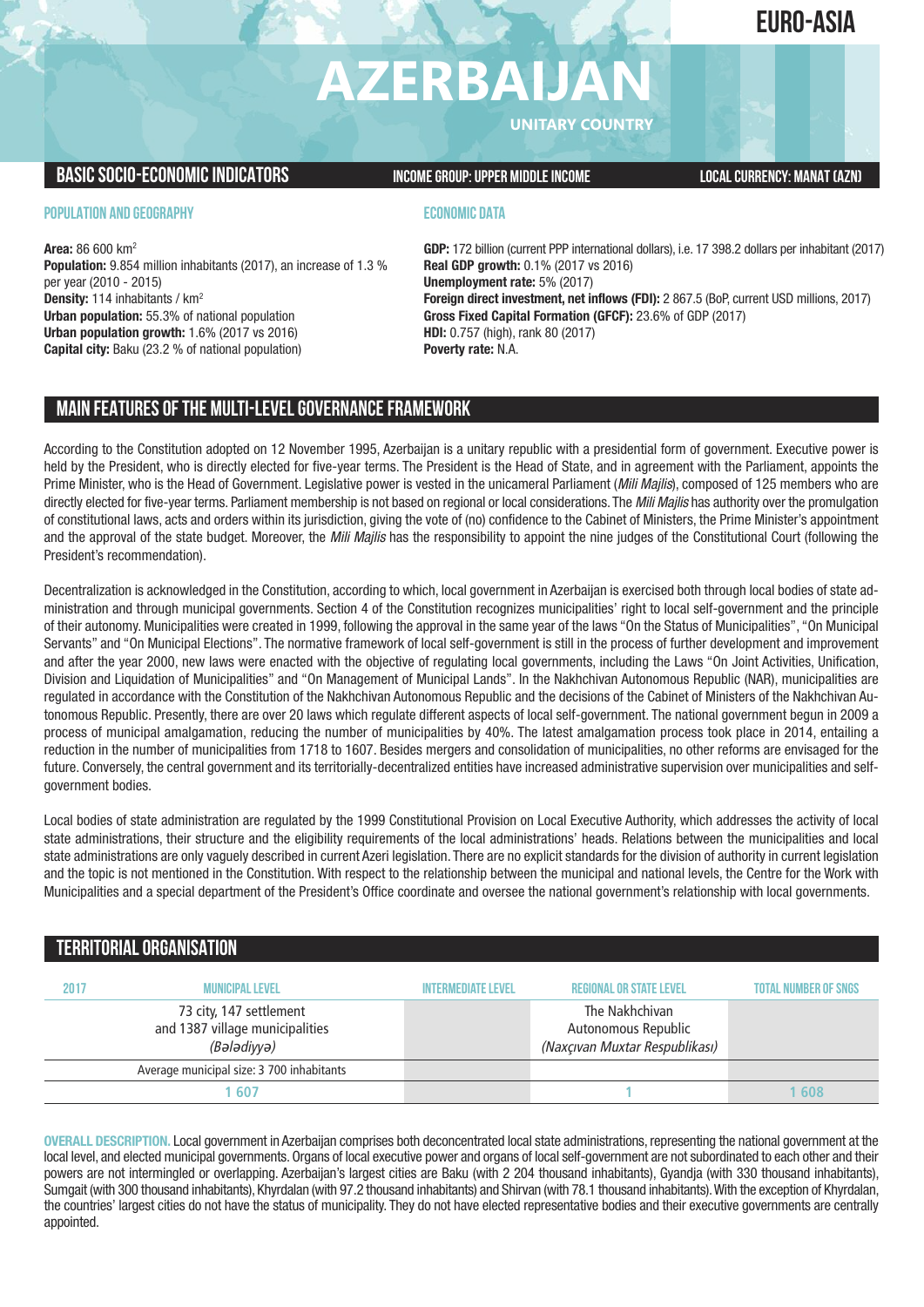### **EURO-ASIA**

# **AZERBAIJAN**

**UNITARY COUNTRY**

#### **BASICSOCIO-ECONOMICINDICATORS INCOMEGROUP:UPPER MIDDLEINCOME LOCALCURRENCY: MANAT(AZN)**

#### **POPULATION AND GEOGRAPHY**

**Area:** 86 600 km2 **Population:** 9.854 million inhabitants (2017), an increase of 1.3 % per year (2010 - 2015) **Density:** 114 inhabitants / km2 **Urban population:** 55.3% of national population **Urban population growth:** 1.6% (2017 vs 2016) **Capital city:** Baku (23.2 % of national population)

#### **ECONOMIC DATA**

**GDP:** 172 billion (current PPP international dollars), i.e. 17 398.2 dollars per inhabitant (2017) **Real GDP growth:** 0.1% (2017 vs 2016) **Unemployment rate:** 5% (2017) **Foreign direct investment, net inflows (FDI):** 2 867.5 (BoP, current USD millions, 2017) **Gross Fixed Capital Formation (GFCF):** 23.6% of GDP (2017) **HDI:** 0.757 (high), rank 80 (2017) **Poverty rate:** N.A.

#### **MAIN FEATURESOFTHE MULTI-LEVELGOVERNANCEFRAMEWORK**

According to the Constitution adopted on 12 November 1995, Azerbaijan is a unitary republic with a presidential form of government. Executive power is held by the President, who is directly elected for five-year terms. The President is the Head of State, and in agreement with the Parliament, appoints the Prime Minister, who is the Head of Government. Legislative power is vested in the unicameral Parliament (*Mili Majlis*), composed of 125 members who are directly elected for five-year terms. Parliament membership is not based on regional or local considerations. The *Mili Majlis* has authority over the promulgation of constitutional laws, acts and orders within its jurisdiction, giving the vote of (no) confidence to the Cabinet of Ministers, the Prime Minister's appointment and the approval of the state budget. Moreover, the *Mili Majlis* has the responsibility to appoint the nine judges of the Constitutional Court (following the President's recommendation).

Decentralization is acknowledged in the Constitution, according to which, local government in Azerbaijan is exercised both through local bodies of state administration and through municipal governments. Section 4 of the Constitution recognizes municipalities' right to local self-government and the principle of their autonomy. Municipalities were created in 1999, following the approval in the same year of the laws "On the Status of Municipalities", "On Municipal Servants" and "On Municipal Elections". The normative framework of local self-government is still in the process of further development and improvement and after the year 2000, new laws were enacted with the objective of regulating local governments, including the Laws "On Joint Activities, Unification, Division and Liquidation of Municipalities" and "On Management of Municipal Lands". In the Nakhchivan Autonomous Republic (NAR), municipalities are regulated in accordance with the Constitution of the Nakhchivan Autonomous Republic and the decisions of the Cabinet of Ministers of the Nakhchivan Autonomous Republic. Presently, there are over 20 laws which regulate different aspects of local self-government. The national government begun in 2009 a process of municipal amalgamation, reducing the number of municipalities by 40%. The latest amalgamation process took place in 2014, entailing a reduction in the number of municipalities from 1718 to 1607. Besides mergers and consolidation of municipalities, no other reforms are envisaged for the future. Conversely, the central government and its territorially-decentralized entities have increased administrative supervision over municipalities and selfgovernment bodies.

Local bodies of state administration are regulated by the 1999 Constitutional Provision on Local Executive Authority, which addresses the activity of local state administrations, their structure and the eligibility requirements of the local administrations' heads. Relations between the municipalities and local state administrations are only vaguely described in current Azeri legislation. There are no explicit standards for the division of authority in current legislation and the topic is not mentioned in the Constitution. With respect to the relationship between the municipal and national levels, the Centre for the Work with Municipalities and a special department of the President's Office coordinate and oversee the national government's relationship with local governments.

#### **TERRITORIALORGANISATION 2017 Municipallevel Intermediatelevel regionalor Statelevel Total number ofSNGs 73 city, 147 settlement** The Nakhchivan and 1387 village municipalities Autonomous Republic (Bələdiyyə) (Naxçıvan Muxtar Respublikası) Average municipal size: 3 700 inhabitants  **1 607 1 1 608**

**OVERALL DESCRIPTION.** Local government in Azerbaijan comprises both deconcentrated local state administrations, representing the national government at the local level, and elected municipal governments. Organs of local executive power and organs of local self-government are not subordinated to each other and their powers are not intermingled or overlapping. Azerbaijan's largest cities are Baku (with 2 204 thousand inhabitants), Gyandja (with 330 thousand inhabitants), Sumgait (with 300 thousand inhabitants), Khyrdalan (with 97.2 thousand inhabitants) and Shirvan (with 78.1 thousand inhabitants).With the exception of Khyrdalan, the countries' largest cities do not have the status of municipality. They do not have elected representative bodies and their executive governments are centrally appointed.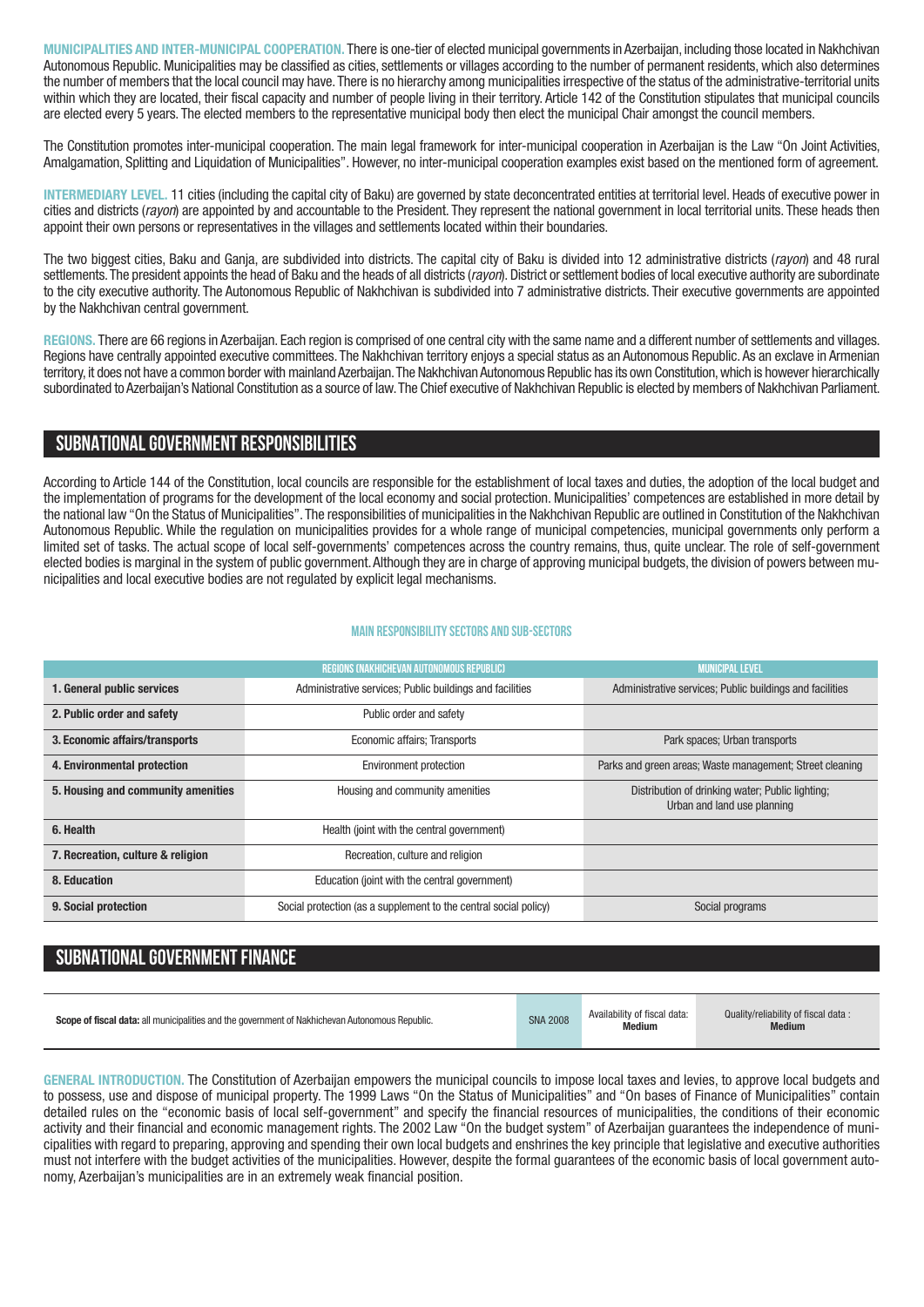**MUNICIPALITIES AND INTER-MUNICIPAL COOPERATION.** There is one-tier of elected municipal governments in Azerbaijan, including those located in Nakhchivan Autonomous Republic. Municipalities may be classified as cities, settlements or villages according to the number of permanent residents, which also determines the number of members that the local council may have.There is no hierarchy among municipalities irrespective of the status of the administrative-territorial units within which they are located, their fiscal capacity and number of people living in their territory. Article 142 of the Constitution stipulates that municipal councils are elected every 5 years. The elected members to the representative municipal body then elect the municipal Chair amongst the council members.

The Constitution promotes inter-municipal cooperation. The main legal framework for inter-municipal cooperation in Azerbaijan is the Law "On Joint Activities, Amalgamation, Splitting and Liquidation of Municipalities". However, no inter-municipal cooperation examples exist based on the mentioned form of agreement.

**INTERMEDIARY LEVEL.** 11 cities (including the capital city of Baku) are governed by state deconcentrated entities at territorial level. Heads of executive power in cities and districts (*rayon*) are appointed by and accountable to the President. They represent the national government in local territorial units. These heads then appoint their own persons or representatives in the villages and settlements located within their boundaries.

The two biggest cities, Baku and Ganja, are subdivided into districts. The capital city of Baku is divided into 12 administrative districts (*rayon*) and 48 rural settlements. The president appoints the head of Baku and the heads of all districts (*rayon*). District or settlement bodies of local executive authority are subordinate to the city executive authority. The Autonomous Republic of Nakhchivan is subdivided into 7 administrative districts. Their executive governments are appointed by the Nakhchivan central government.

**REGIONS.** There are 66 regions in Azerbaijan. Each region is comprised of one central city with the same name and a different number of settlements and villages. Regions have centrally appointed executive committees. The Nakhchivan territory enjoys a special status as an Autonomous Republic. As an exclave in Armenian territory, it does not have a common border with mainland Azerbaijan.The Nakhchivan Autonomous Republic has its own Constitution,which is however hierarchically subordinated to Azerbaijan's National Constitution as a source of law.The Chief executive of Nakhchivan Republic is elected by members of Nakhchivan Parliament.

#### **SUBNATIONALGOVERNMENT RESPONSIBILITIES**

According to Article 144 of the Constitution, local councils are responsible for the establishment of local taxes and duties, the adoption of the local budget and the implementation of programs for the development of the local economy and social protection. Municipalities' competences are established in more detail by the national law"On the Status of Municipalities".The responsibilities of municipalities in the Nakhchivan Republic are outlined in Constitution of the Nakhchivan Autonomous Republic. While the regulation on municipalities provides for a whole range of municipal competencies, municipal governments only perform a limited set of tasks. The actual scope of local self-governments' competences across the country remains, thus, quite unclear. The role of self-government elected bodies is marginal in the system of public government. Although they are in charge of approving municipal budgets, the division of powers between municipalities and local executive bodies are not regulated by explicit legal mechanisms.

#### **Main responsibilitysectors and sub-sectors**

|                                    | REGIONS (NAKHICHEVAN AUTONOMOUS REPUBLIC)                        | <b>MUNICIPAL LEVEL</b>                                                          |
|------------------------------------|------------------------------------------------------------------|---------------------------------------------------------------------------------|
| 1. General public services         | Administrative services; Public buildings and facilities         | Administrative services; Public buildings and facilities                        |
| 2. Public order and safety         | Public order and safety                                          |                                                                                 |
| 3. Economic affairs/transports     | Economic affairs; Transports                                     | Park spaces; Urban transports                                                   |
| 4. Environmental protection        | <b>Environment protection</b>                                    | Parks and green areas; Waste management; Street cleaning                        |
| 5. Housing and community amenities | Housing and community amenities                                  | Distribution of drinking water; Public lighting;<br>Urban and land use planning |
| 6. Health                          | Health (joint with the central government)                       |                                                                                 |
| 7. Recreation, culture & religion  | Recreation, culture and religion                                 |                                                                                 |
| 8. Education                       | Education (joint with the central government)                    |                                                                                 |
| 9. Social protection               | Social protection (as a supplement to the central social policy) | Social programs                                                                 |

#### **SUBNATIONAL GOVERNMENT FINANCE**

| Scope of fiscal data: all municipalities and the government of Nakhichevan Autonomous Republic. | <b>SNA 2008</b> | Availability of fiscal data:<br>Medium | Quality/reliability of fiscal data:<br><b>Medium</b> |
|-------------------------------------------------------------------------------------------------|-----------------|----------------------------------------|------------------------------------------------------|
|-------------------------------------------------------------------------------------------------|-----------------|----------------------------------------|------------------------------------------------------|

**GENERAL INTRODUCTION.** The Constitution of Azerbaijan empowers the municipal councils to impose local taxes and levies, to approve local budgets and to possess, use and dispose of municipal property. The 1999 Laws "On the Status of Municipalities" and "On bases of Finance of Municipalities" contain detailed rules on the "economic basis of local self-government" and specify the financial resources of municipalities, the conditions of their economic activity and their financial and economic management rights. The 2002 Law "On the budget system" of Azerbaijan guarantees the independence of municipalities with regard to preparing, approving and spending their own local budgets and enshrines the key principle that legislative and executive authorities must not interfere with the budget activities of the municipalities. However, despite the formal guarantees of the economic basis of local government autonomy, Azerbaijan's municipalities are in an extremely weak financial position.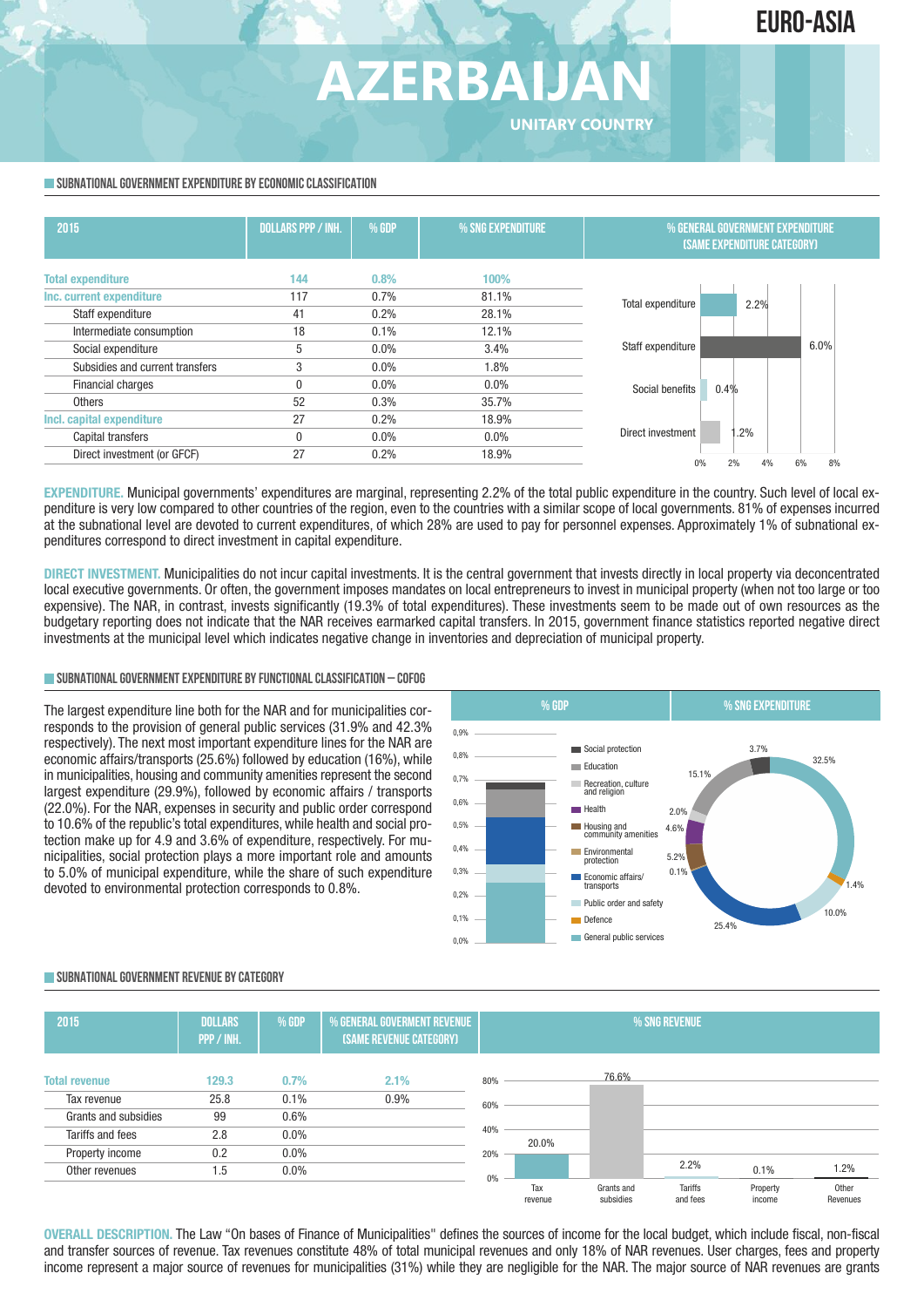## **AZERBAIJAN UNITARY COUNTRY**

#### **SUBNATIONAL GOVERNMENT EXPENDITURE BY ECONOMIC CLASSIFICATION**

| 2015                            | <b>DOLLARS PPP / INH.</b> | $%$ GDP | % SNG EXPENDITURE | % GENERAL GOVERNMENT EXPENDITURE<br>(SAME EXPENDITURE CATEGORY) |  |  |  |
|---------------------------------|---------------------------|---------|-------------------|-----------------------------------------------------------------|--|--|--|
| <b>Total expenditure</b>        | 144                       | 0.8%    | 100%              |                                                                 |  |  |  |
| Inc. current expenditure        | 117                       | 0.7%    | 81.1%             | Total expenditure<br>2.2%                                       |  |  |  |
| Staff expenditure               | 41                        | 0.2%    | 28.1%             |                                                                 |  |  |  |
| Intermediate consumption        | 18                        | 0.1%    | 12.1%             |                                                                 |  |  |  |
| Social expenditure              | 5                         | 0.0%    | 3.4%              | 6.0%<br>Staff expenditure                                       |  |  |  |
| Subsidies and current transfers | 3                         | 0.0%    | 1.8%              |                                                                 |  |  |  |
| Financial charges               | 0                         | 0.0%    | 0.0%              | 0.4%<br>Social benefits                                         |  |  |  |
| Others                          | 52                        | 0.3%    | 35.7%             |                                                                 |  |  |  |
| Incl. capital expenditure       | 27                        | 0.2%    | 18.9%             |                                                                 |  |  |  |
| Capital transfers               | 0                         | 0.0%    | $0.0\%$           | $.2\%$<br>Direct investment                                     |  |  |  |
| Direct investment (or GFCF)     | 27                        | 0.2%    | 18.9%             | 2%<br>4%<br>6%<br>8%<br>$0\%$                                   |  |  |  |

**EXPENDITURE.** Municipal governments' expenditures are marginal, representing 2.2% of the total public expenditure in the country. Such level of local expenditure is very low compared to other countries of the region, even to the countries with a similar scope of local governments. 81% of expenses incurred at the subnational level are devoted to current expenditures, of which 28% are used to pay for personnel expenses. Approximately 1% of subnational expenditures correspond to direct investment in capital expenditure.

**DIRECT INVESTMENT.** Municipalities do not incur capital investments. It is the central government that invests directly in local property via deconcentrated local executive governments. Or often, the government imposes mandates on local entrepreneurs to invest in municipal property (when not too large or too expensive). The NAR, in contrast, invests significantly (19.3% of total expenditures). These investments seem to be made out of own resources as the budgetary reporting does not indicate that the NAR receives earmarked capital transfers. In 2015, government finance statistics reported negative direct investments at the municipal level which indicates negative change in inventories and depreciation of municipal property.

#### **SUBNATIONALGOVERNMENTEXPENDITURE BYFUNCTIONALCLASSIFICATION – COFOG**

The largest expenditure line both for the NAR and for municipalities corresponds to the provision of general public services (31.9% and 42.3% respectively). The next most important expenditure lines for the NAR are economic affairs/transports (25.6%) followed by education (16%), while in municipalities, housing and community amenities represent the second largest expenditure (29.9%), followed by economic affairs / transports (22.0%). For the NAR, expenses in security and public order correspond to 10.6% of the republic's total expenditures,while health and social protection make up for 4.9 and 3.6% of expenditure, respectively. For municipalities, social protection plays a more important role and amounts to 5.0% of municipal expenditure, while the share of such expenditure devoted to environmental protection corresponds to 0.8%.



#### **SUBNATIONALGOVERNMENT REVENUE BYCATEGORY**

| 2015                 | <b>DOLLARS</b><br>PPP / INH. | % GDP   | <b>% GENERAL GOVERMENT REVENUE</b><br>(SAME REVENUE CATEGORY) | % SNG REVENUE |                |                         |                     |                    |                   |
|----------------------|------------------------------|---------|---------------------------------------------------------------|---------------|----------------|-------------------------|---------------------|--------------------|-------------------|
| <b>Total revenue</b> | 129.3                        | 0.7%    | 2.1%                                                          | 80%           |                | 76.6%                   |                     |                    |                   |
| Tax revenue          | 25.8                         | 0.1%    | 0.9%                                                          | 60%           |                |                         |                     |                    |                   |
| Grants and subsidies | 99                           | 0.6%    |                                                               |               |                |                         |                     |                    |                   |
| Tariffs and fees     | 2.8                          | $0.0\%$ |                                                               | 40%           | 20.0%          |                         |                     |                    |                   |
| Property income      | 0.2                          | $0.0\%$ |                                                               | 20%           |                |                         |                     |                    |                   |
| Other revenues       | 1.5                          | $0.0\%$ |                                                               | 0%            |                |                         | 2.2%                | 0.1%               | 1.2%              |
|                      |                              |         |                                                               |               | Tax<br>revenue | Grants and<br>subsidies | Tariffs<br>and fees | Property<br>income | Other<br>Revenues |

**OVERALL DESCRIPTION.** The Law "On bases of Finance of Municipalities" defines the sources of income for the local budget, which include fiscal, non-fiscal and transfer sources of revenue. Tax revenues constitute 48% of total municipal revenues and only 18% of NAR revenues. User charges, fees and property income represent a major source of revenues for municipalities (31%) while they are negligible for the NAR. The major source of NAR revenues are grants